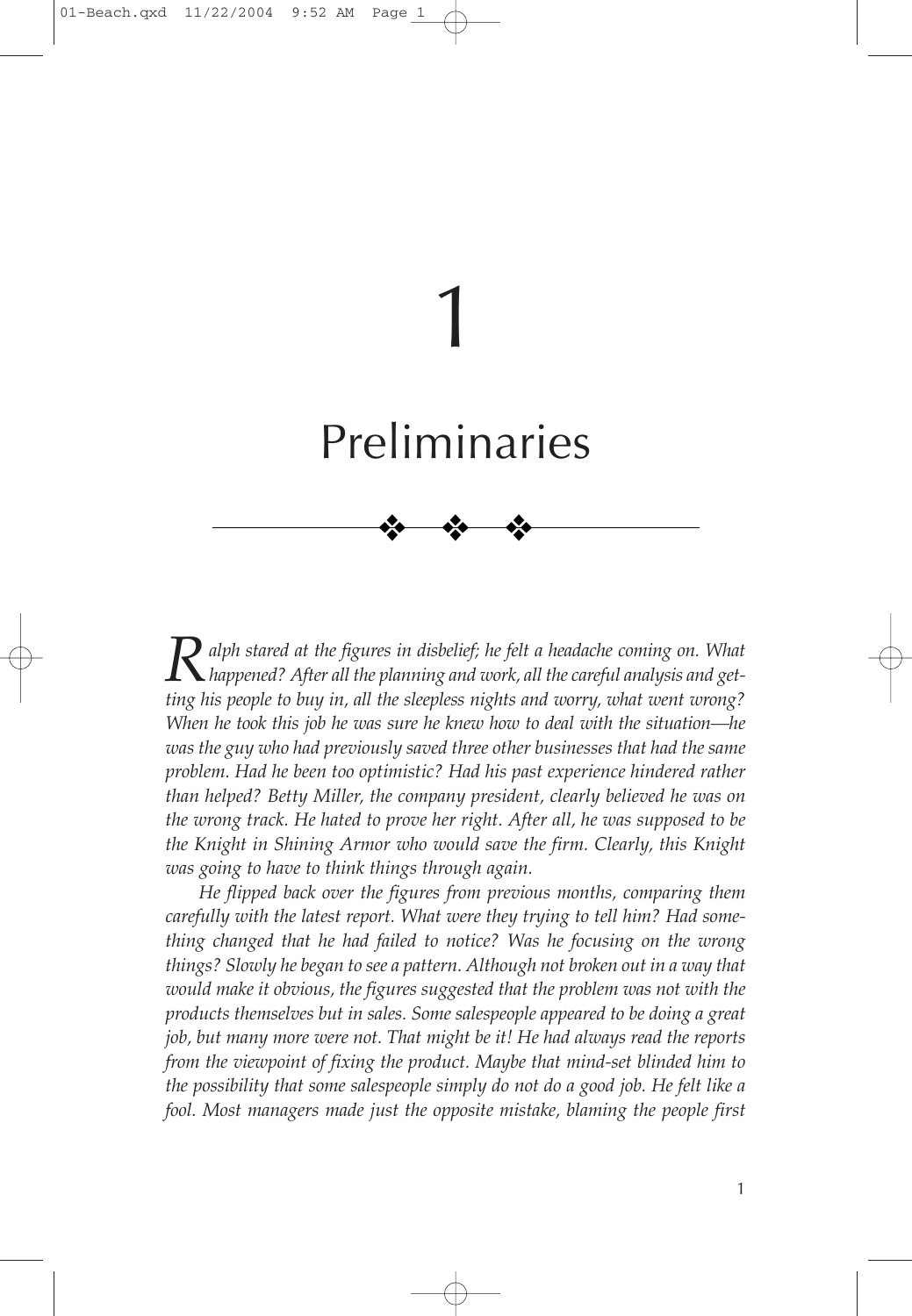# Preliminaries

❖ ❖ ❖

1

**R** alph stared at the figures in disbelief; he felt a headache coming on. What<br>*happened? After all the planning and work, all the careful analysis and getting his people to buy in, all the sleepless nights and worry, what went wrong? When he took this job he was sure he knew how to deal with the situation—he was the guy who had previously saved three other businesses that had the same problem. Had he been too optimistic? Had his past experience hindered rather than helped? Betty Miller, the company president, clearly believed he was on the wrong track. He hated to prove her right. After all, he was supposed to be the Knight in Shining Armor who would save the firm. Clearly, this Knight was going to have to think things through again.*

*He flipped back over the figures from previous months, comparing them carefully with the latest report. What were they trying to tell him? Had something changed that he had failed to notice? Was he focusing on the wrong things? Slowly he began to see a pattern. Although not broken out in a way that would make it obvious, the figures suggested that the problem was not with the products themselves but in sales. Some salespeople appeared to be doing a great job, but many more were not. That might be it! He had always read the reports from the viewpoint of fixing the product. Maybe that mind-set blinded him to the possibility that some salespeople simply do not do a good job. He felt like a fool. Most managers made just the opposite mistake, blaming the people first*

1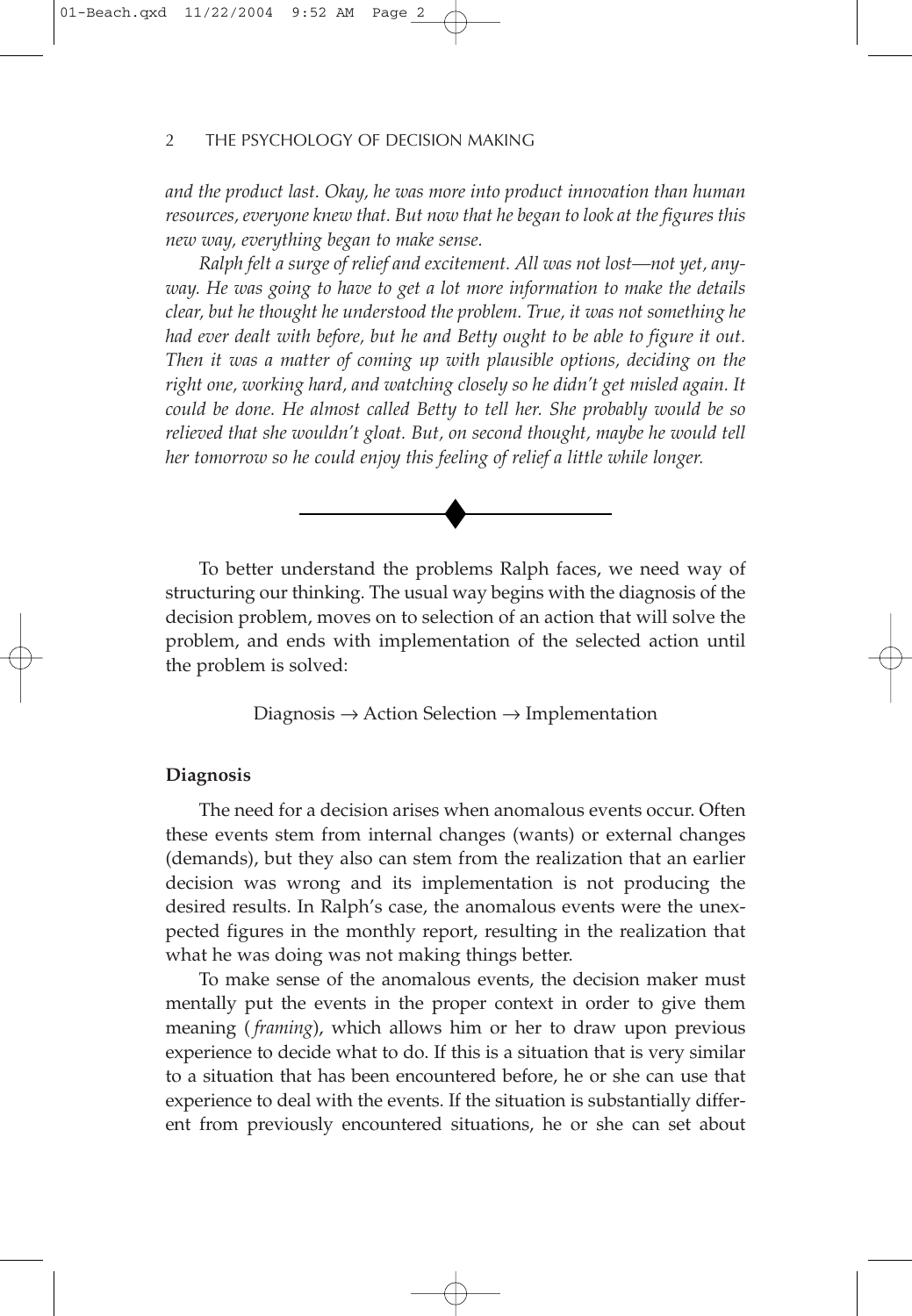*and the product last. Okay, he was more into product innovation than human resources, everyone knew that. But now that he began to look at the figures this new way, everything began to make sense.*

*Ralph felt a surge of relief and excitement. All was not lost—not yet, anyway. He was going to have to get a lot more information to make the details clear, but he thought he understood the problem. True, it was not something he had ever dealt with before, but he and Betty ought to be able to figure it out. Then it was a matter of coming up with plausible options, deciding on the right one, working hard, and watching closely so he didn't get misled again. It could be done. He almost called Betty to tell her. She probably would be so relieved that she wouldn't gloat. But, on second thought, maybe he would tell her tomorrow so he could enjoy this feeling of relief a little while longer.*



To better understand the problems Ralph faces, we need way of structuring our thinking. The usual way begins with the diagnosis of the decision problem, moves on to selection of an action that will solve the problem, and ends with implementation of the selected action until the problem is solved:

Diagnosis  $\rightarrow$  Action Selection  $\rightarrow$  Implementation

### **Diagnosis**

The need for a decision arises when anomalous events occur. Often these events stem from internal changes (wants) or external changes (demands), but they also can stem from the realization that an earlier decision was wrong and its implementation is not producing the desired results. In Ralph's case, the anomalous events were the unexpected figures in the monthly report, resulting in the realization that what he was doing was not making things better.

To make sense of the anomalous events, the decision maker must mentally put the events in the proper context in order to give them meaning ( *framing*), which allows him or her to draw upon previous experience to decide what to do. If this is a situation that is very similar to a situation that has been encountered before, he or she can use that experience to deal with the events. If the situation is substantially different from previously encountered situations, he or she can set about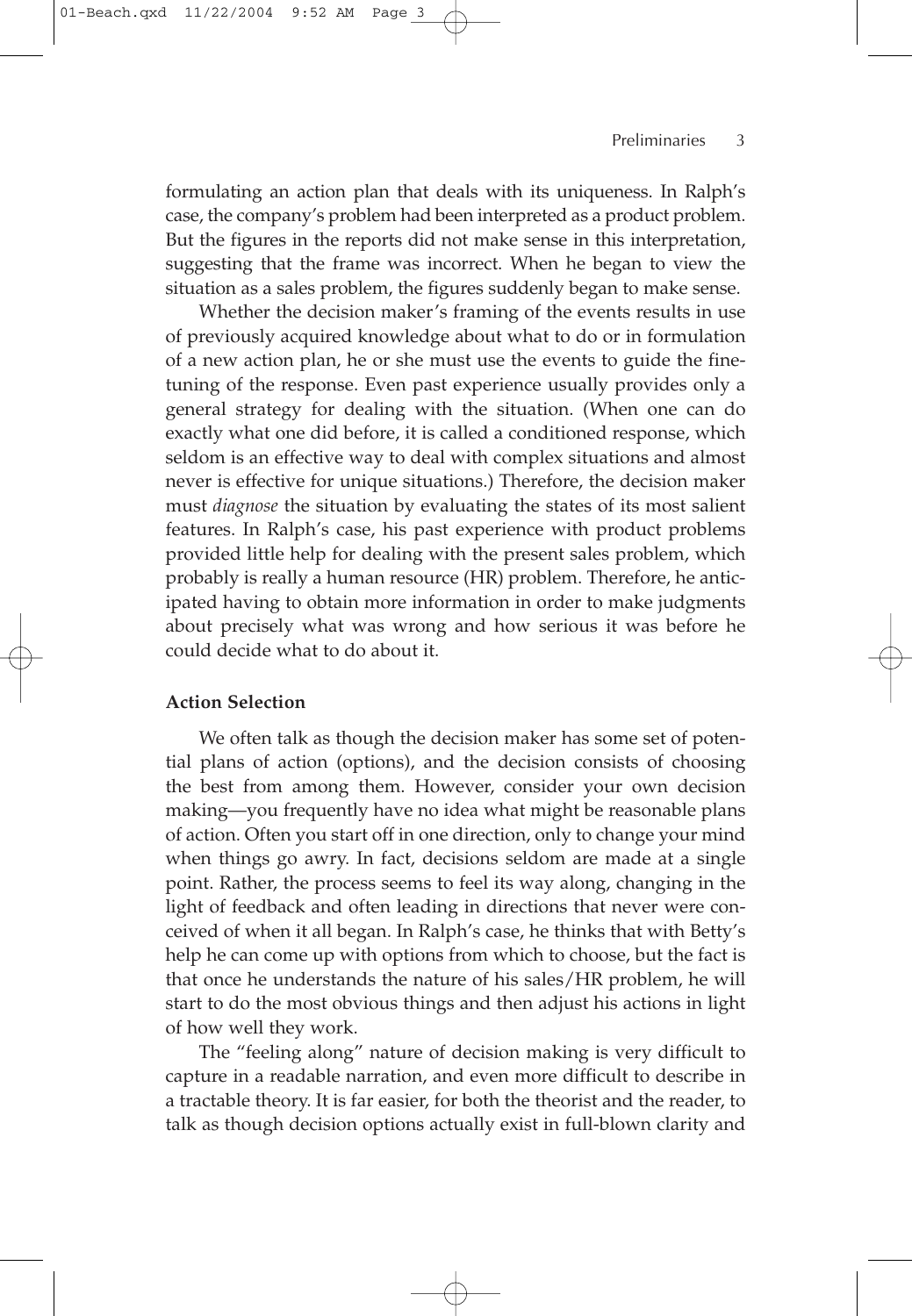## Preliminaries 3

formulating an action plan that deals with its uniqueness. In Ralph's case, the company's problem had been interpreted as a product problem. But the figures in the reports did not make sense in this interpretation, suggesting that the frame was incorrect. When he began to view the situation as a sales problem, the figures suddenly began to make sense.

Whether the decision maker's framing of the events results in use of previously acquired knowledge about what to do or in formulation of a new action plan, he or she must use the events to guide the finetuning of the response. Even past experience usually provides only a general strategy for dealing with the situation. (When one can do exactly what one did before, it is called a conditioned response, which seldom is an effective way to deal with complex situations and almost never is effective for unique situations.) Therefore, the decision maker must *diagnose* the situation by evaluating the states of its most salient features. In Ralph's case, his past experience with product problems provided little help for dealing with the present sales problem, which probably is really a human resource (HR) problem. Therefore, he anticipated having to obtain more information in order to make judgments about precisely what was wrong and how serious it was before he could decide what to do about it.

## **Action Selection**

We often talk as though the decision maker has some set of potential plans of action (options), and the decision consists of choosing the best from among them. However, consider your own decision making—you frequently have no idea what might be reasonable plans of action. Often you start off in one direction, only to change your mind when things go awry. In fact, decisions seldom are made at a single point. Rather, the process seems to feel its way along, changing in the light of feedback and often leading in directions that never were conceived of when it all began. In Ralph's case, he thinks that with Betty's help he can come up with options from which to choose, but the fact is that once he understands the nature of his sales/HR problem, he will start to do the most obvious things and then adjust his actions in light of how well they work.

The "feeling along" nature of decision making is very difficult to capture in a readable narration, and even more difficult to describe in a tractable theory. It is far easier, for both the theorist and the reader, to talk as though decision options actually exist in full-blown clarity and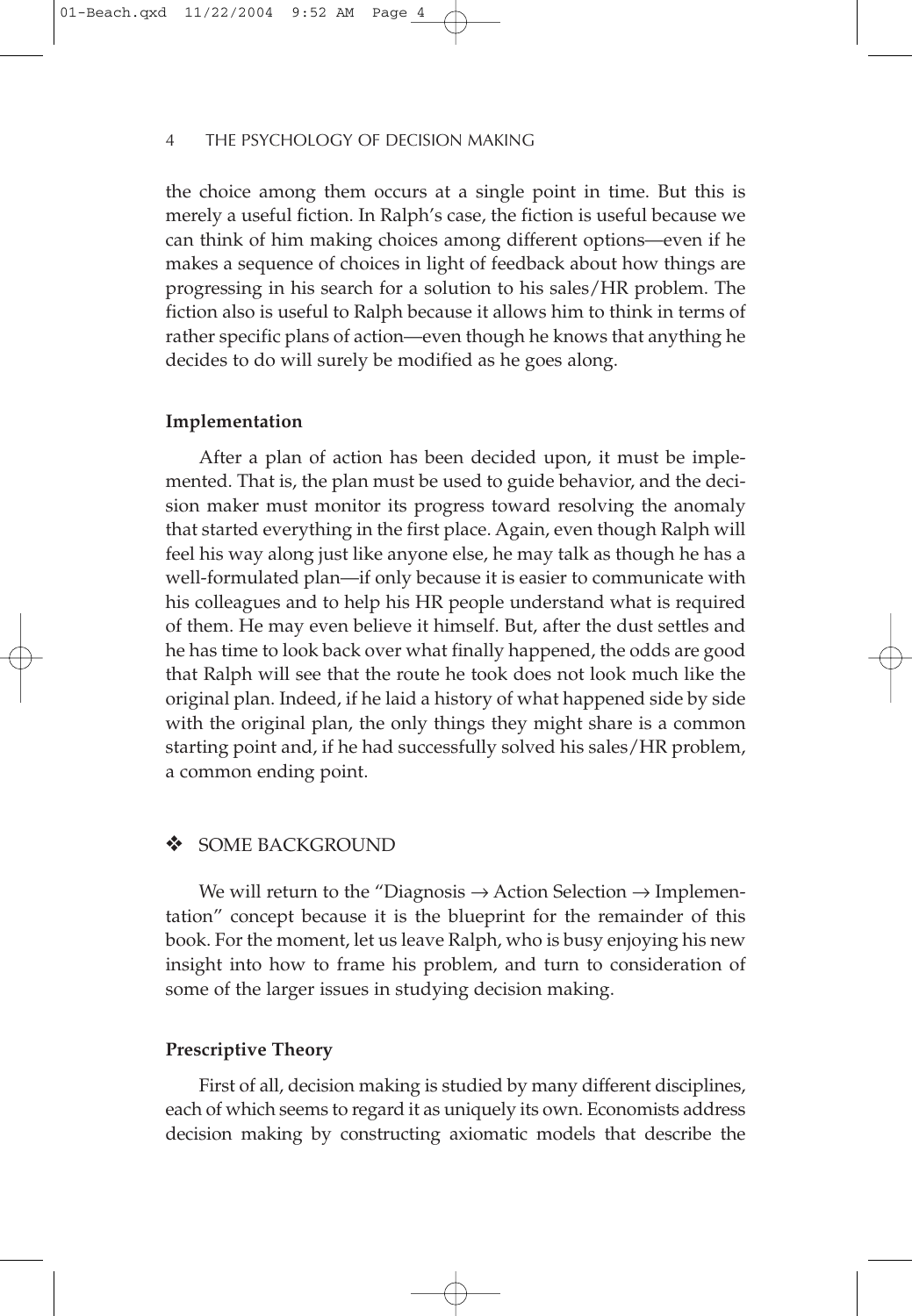the choice among them occurs at a single point in time. But this is merely a useful fiction. In Ralph's case, the fiction is useful because we can think of him making choices among different options—even if he makes a sequence of choices in light of feedback about how things are progressing in his search for a solution to his sales/HR problem. The fiction also is useful to Ralph because it allows him to think in terms of rather specific plans of action—even though he knows that anything he decides to do will surely be modified as he goes along.

#### **Implementation**

After a plan of action has been decided upon, it must be implemented. That is, the plan must be used to guide behavior, and the decision maker must monitor its progress toward resolving the anomaly that started everything in the first place. Again, even though Ralph will feel his way along just like anyone else, he may talk as though he has a well-formulated plan—if only because it is easier to communicate with his colleagues and to help his HR people understand what is required of them. He may even believe it himself. But, after the dust settles and he has time to look back over what finally happened, the odds are good that Ralph will see that the route he took does not look much like the original plan. Indeed, if he laid a history of what happened side by side with the original plan, the only things they might share is a common starting point and, if he had successfully solved his sales/HR problem, a common ending point.

## SOME BACKGROUND

We will return to the "Diagnosis  $\rightarrow$  Action Selection  $\rightarrow$  Implementation" concept because it is the blueprint for the remainder of this book. For the moment, let us leave Ralph, who is busy enjoying his new insight into how to frame his problem, and turn to consideration of some of the larger issues in studying decision making.

## **Prescriptive Theory**

First of all, decision making is studied by many different disciplines, each of which seems to regard it as uniquely its own. Economists address decision making by constructing axiomatic models that describe the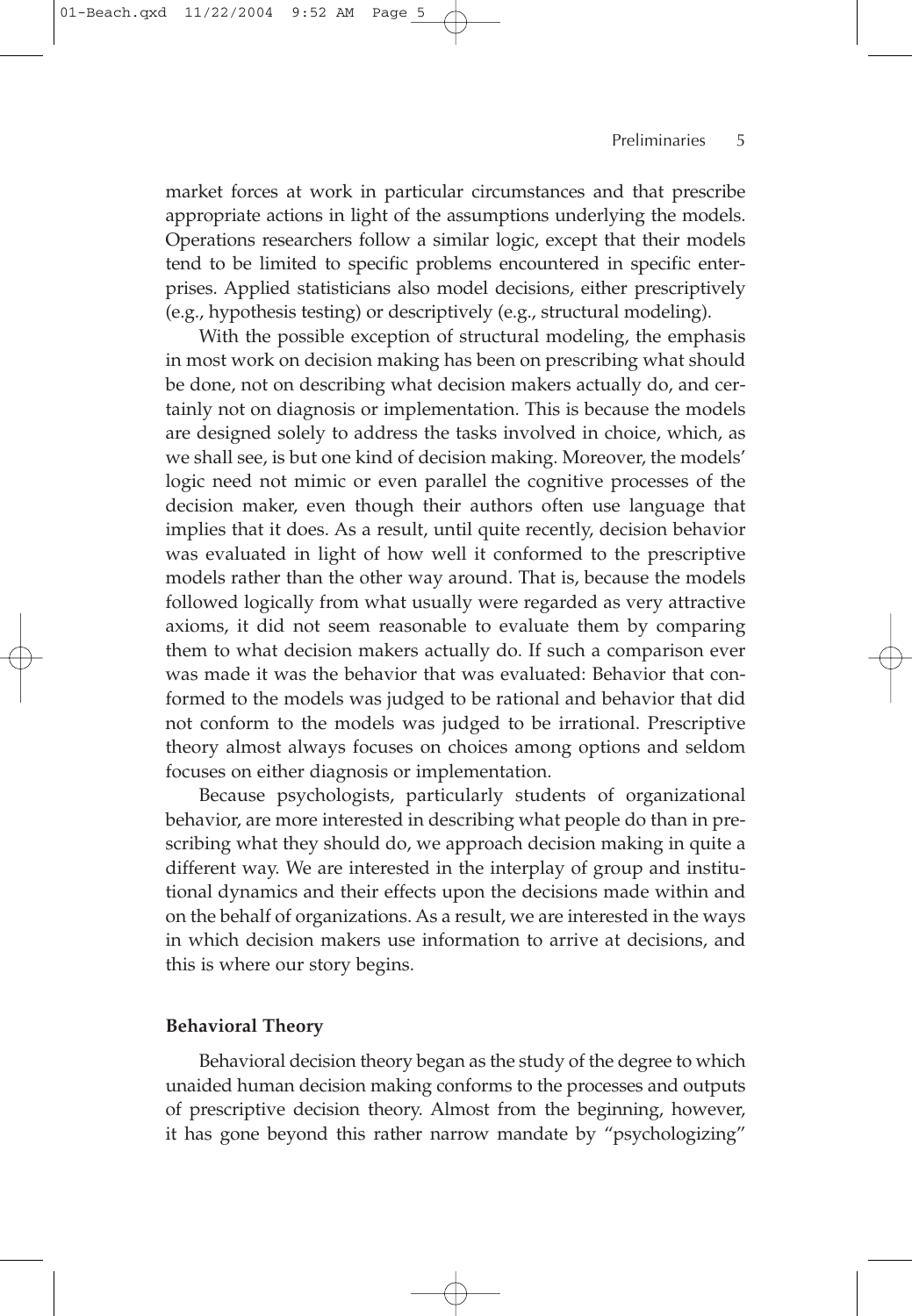market forces at work in particular circumstances and that prescribe appropriate actions in light of the assumptions underlying the models. Operations researchers follow a similar logic, except that their models tend to be limited to specific problems encountered in specific enterprises. Applied statisticians also model decisions, either prescriptively (e.g., hypothesis testing) or descriptively (e.g., structural modeling).

With the possible exception of structural modeling, the emphasis in most work on decision making has been on prescribing what should be done, not on describing what decision makers actually do, and certainly not on diagnosis or implementation. This is because the models are designed solely to address the tasks involved in choice, which, as we shall see, is but one kind of decision making. Moreover, the models' logic need not mimic or even parallel the cognitive processes of the decision maker, even though their authors often use language that implies that it does. As a result, until quite recently, decision behavior was evaluated in light of how well it conformed to the prescriptive models rather than the other way around. That is, because the models followed logically from what usually were regarded as very attractive axioms, it did not seem reasonable to evaluate them by comparing them to what decision makers actually do. If such a comparison ever was made it was the behavior that was evaluated: Behavior that conformed to the models was judged to be rational and behavior that did not conform to the models was judged to be irrational. Prescriptive theory almost always focuses on choices among options and seldom focuses on either diagnosis or implementation.

Because psychologists, particularly students of organizational behavior, are more interested in describing what people do than in prescribing what they should do, we approach decision making in quite a different way. We are interested in the interplay of group and institutional dynamics and their effects upon the decisions made within and on the behalf of organizations. As a result, we are interested in the ways in which decision makers use information to arrive at decisions, and this is where our story begins.

#### **Behavioral Theory**

Behavioral decision theory began as the study of the degree to which unaided human decision making conforms to the processes and outputs of prescriptive decision theory. Almost from the beginning, however, it has gone beyond this rather narrow mandate by "psychologizing"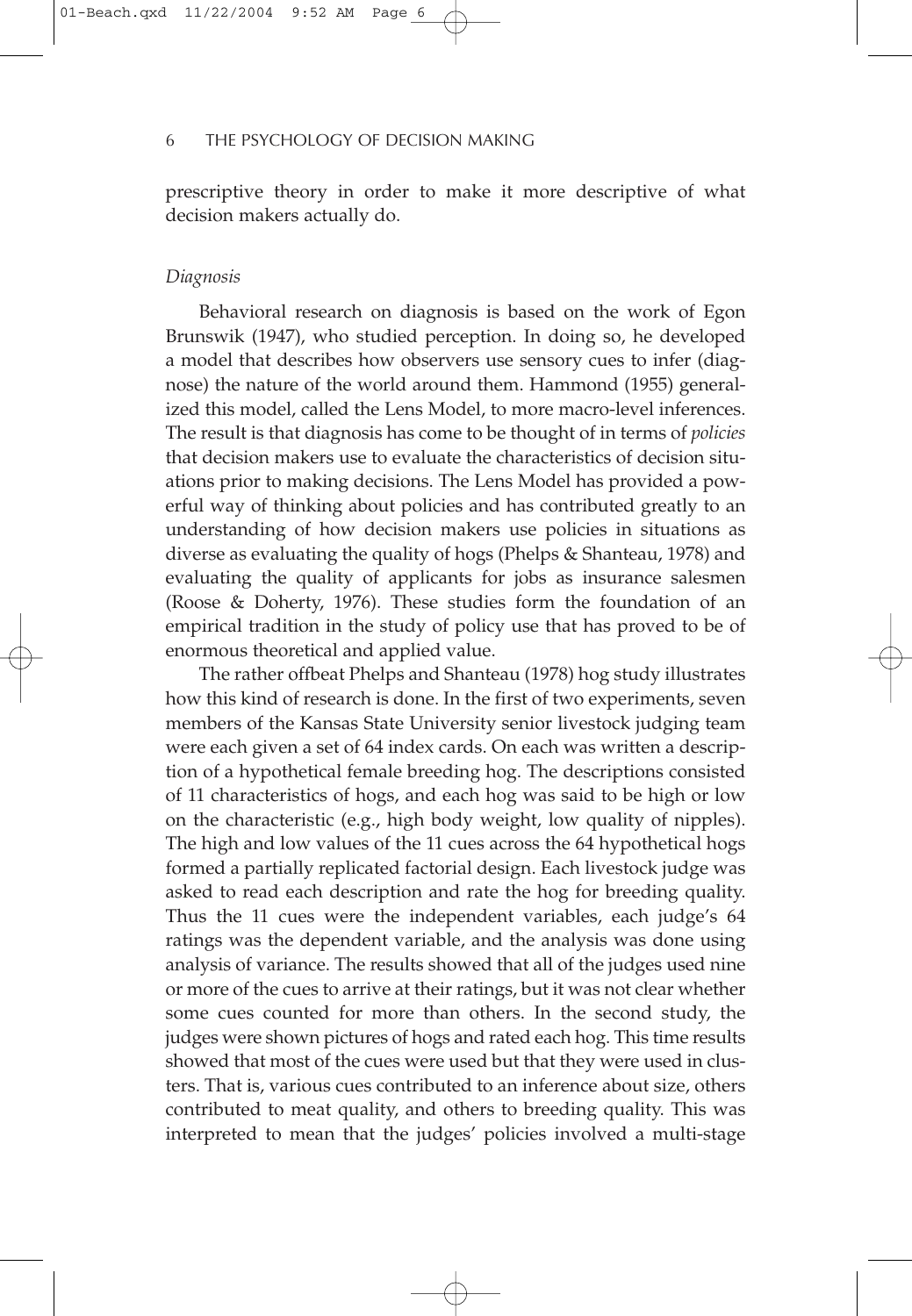prescriptive theory in order to make it more descriptive of what decision makers actually do.

#### *Diagnosis*

Behavioral research on diagnosis is based on the work of Egon Brunswik (1947), who studied perception. In doing so, he developed a model that describes how observers use sensory cues to infer (diagnose) the nature of the world around them. Hammond (1955) generalized this model, called the Lens Model, to more macro-level inferences. The result is that diagnosis has come to be thought of in terms of *policies* that decision makers use to evaluate the characteristics of decision situations prior to making decisions. The Lens Model has provided a powerful way of thinking about policies and has contributed greatly to an understanding of how decision makers use policies in situations as diverse as evaluating the quality of hogs (Phelps & Shanteau, 1978) and evaluating the quality of applicants for jobs as insurance salesmen (Roose & Doherty, 1976). These studies form the foundation of an empirical tradition in the study of policy use that has proved to be of enormous theoretical and applied value.

The rather offbeat Phelps and Shanteau (1978) hog study illustrates how this kind of research is done. In the first of two experiments, seven members of the Kansas State University senior livestock judging team were each given a set of 64 index cards. On each was written a description of a hypothetical female breeding hog. The descriptions consisted of 11 characteristics of hogs, and each hog was said to be high or low on the characteristic (e.g., high body weight, low quality of nipples). The high and low values of the 11 cues across the 64 hypothetical hogs formed a partially replicated factorial design. Each livestock judge was asked to read each description and rate the hog for breeding quality. Thus the 11 cues were the independent variables, each judge's 64 ratings was the dependent variable, and the analysis was done using analysis of variance. The results showed that all of the judges used nine or more of the cues to arrive at their ratings, but it was not clear whether some cues counted for more than others. In the second study, the judges were shown pictures of hogs and rated each hog. This time results showed that most of the cues were used but that they were used in clusters. That is, various cues contributed to an inference about size, others contributed to meat quality, and others to breeding quality. This was interpreted to mean that the judges' policies involved a multi-stage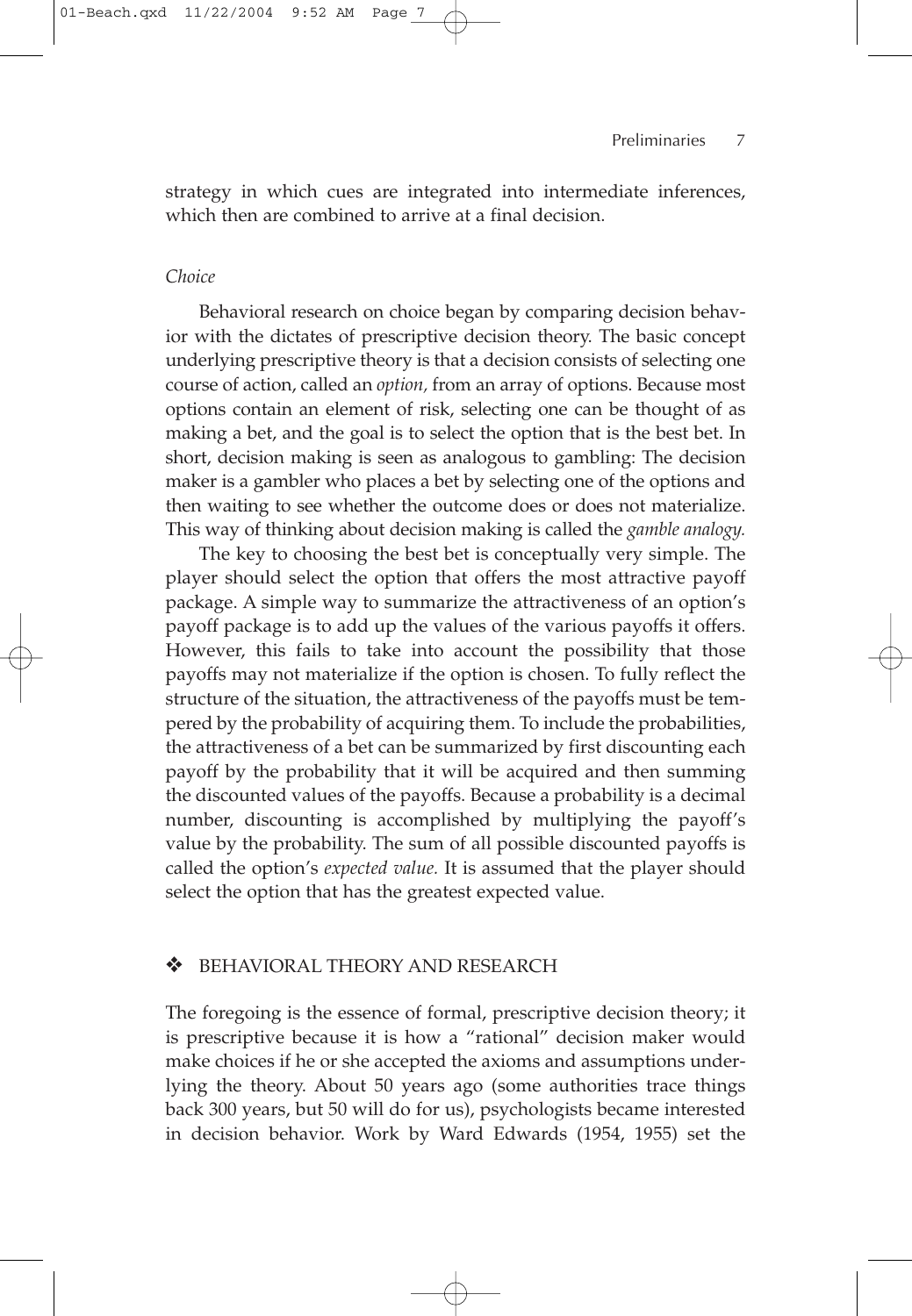strategy in which cues are integrated into intermediate inferences, which then are combined to arrive at a final decision.

## *Choice*

Behavioral research on choice began by comparing decision behavior with the dictates of prescriptive decision theory. The basic concept underlying prescriptive theory is that a decision consists of selecting one course of action, called an *option,* from an array of options. Because most options contain an element of risk, selecting one can be thought of as making a bet, and the goal is to select the option that is the best bet. In short, decision making is seen as analogous to gambling: The decision maker is a gambler who places a bet by selecting one of the options and then waiting to see whether the outcome does or does not materialize. This way of thinking about decision making is called the *gamble analogy.*

The key to choosing the best bet is conceptually very simple. The player should select the option that offers the most attractive payoff package. A simple way to summarize the attractiveness of an option's payoff package is to add up the values of the various payoffs it offers. However, this fails to take into account the possibility that those payoffs may not materialize if the option is chosen. To fully reflect the structure of the situation, the attractiveness of the payoffs must be tempered by the probability of acquiring them. To include the probabilities, the attractiveness of a bet can be summarized by first discounting each payoff by the probability that it will be acquired and then summing the discounted values of the payoffs. Because a probability is a decimal number, discounting is accomplished by multiplying the payoff's value by the probability. The sum of all possible discounted payoffs is called the option's *expected value.* It is assumed that the player should select the option that has the greatest expected value.

### ❖ BEHAVIORAL THEORY AND RESEARCH

The foregoing is the essence of formal, prescriptive decision theory; it is prescriptive because it is how a "rational" decision maker would make choices if he or she accepted the axioms and assumptions underlying the theory. About 50 years ago (some authorities trace things back 300 years, but 50 will do for us), psychologists became interested in decision behavior. Work by Ward Edwards (1954, 1955) set the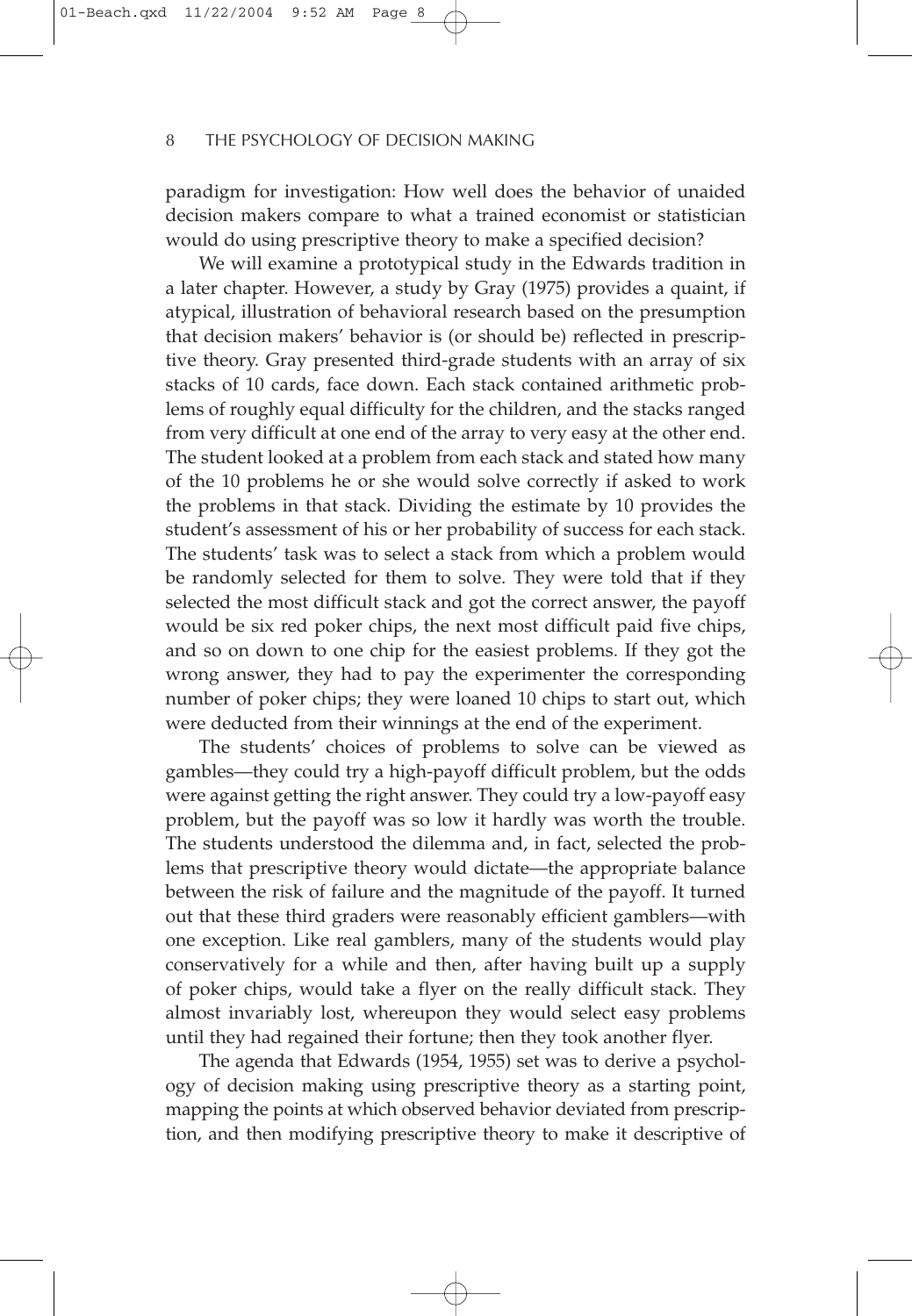paradigm for investigation: How well does the behavior of unaided decision makers compare to what a trained economist or statistician would do using prescriptive theory to make a specified decision?

We will examine a prototypical study in the Edwards tradition in a later chapter. However, a study by Gray (1975) provides a quaint, if atypical, illustration of behavioral research based on the presumption that decision makers' behavior is (or should be) reflected in prescriptive theory. Gray presented third-grade students with an array of six stacks of 10 cards, face down. Each stack contained arithmetic problems of roughly equal difficulty for the children, and the stacks ranged from very difficult at one end of the array to very easy at the other end. The student looked at a problem from each stack and stated how many of the 10 problems he or she would solve correctly if asked to work the problems in that stack. Dividing the estimate by 10 provides the student's assessment of his or her probability of success for each stack. The students' task was to select a stack from which a problem would be randomly selected for them to solve. They were told that if they selected the most difficult stack and got the correct answer, the payoff would be six red poker chips, the next most difficult paid five chips, and so on down to one chip for the easiest problems. If they got the wrong answer, they had to pay the experimenter the corresponding number of poker chips; they were loaned 10 chips to start out, which were deducted from their winnings at the end of the experiment.

The students' choices of problems to solve can be viewed as gambles—they could try a high-payoff difficult problem, but the odds were against getting the right answer. They could try a low-payoff easy problem, but the payoff was so low it hardly was worth the trouble. The students understood the dilemma and, in fact, selected the problems that prescriptive theory would dictate—the appropriate balance between the risk of failure and the magnitude of the payoff. It turned out that these third graders were reasonably efficient gamblers—with one exception. Like real gamblers, many of the students would play conservatively for a while and then, after having built up a supply of poker chips, would take a flyer on the really difficult stack. They almost invariably lost, whereupon they would select easy problems until they had regained their fortune; then they took another flyer.

The agenda that Edwards (1954, 1955) set was to derive a psychology of decision making using prescriptive theory as a starting point, mapping the points at which observed behavior deviated from prescription, and then modifying prescriptive theory to make it descriptive of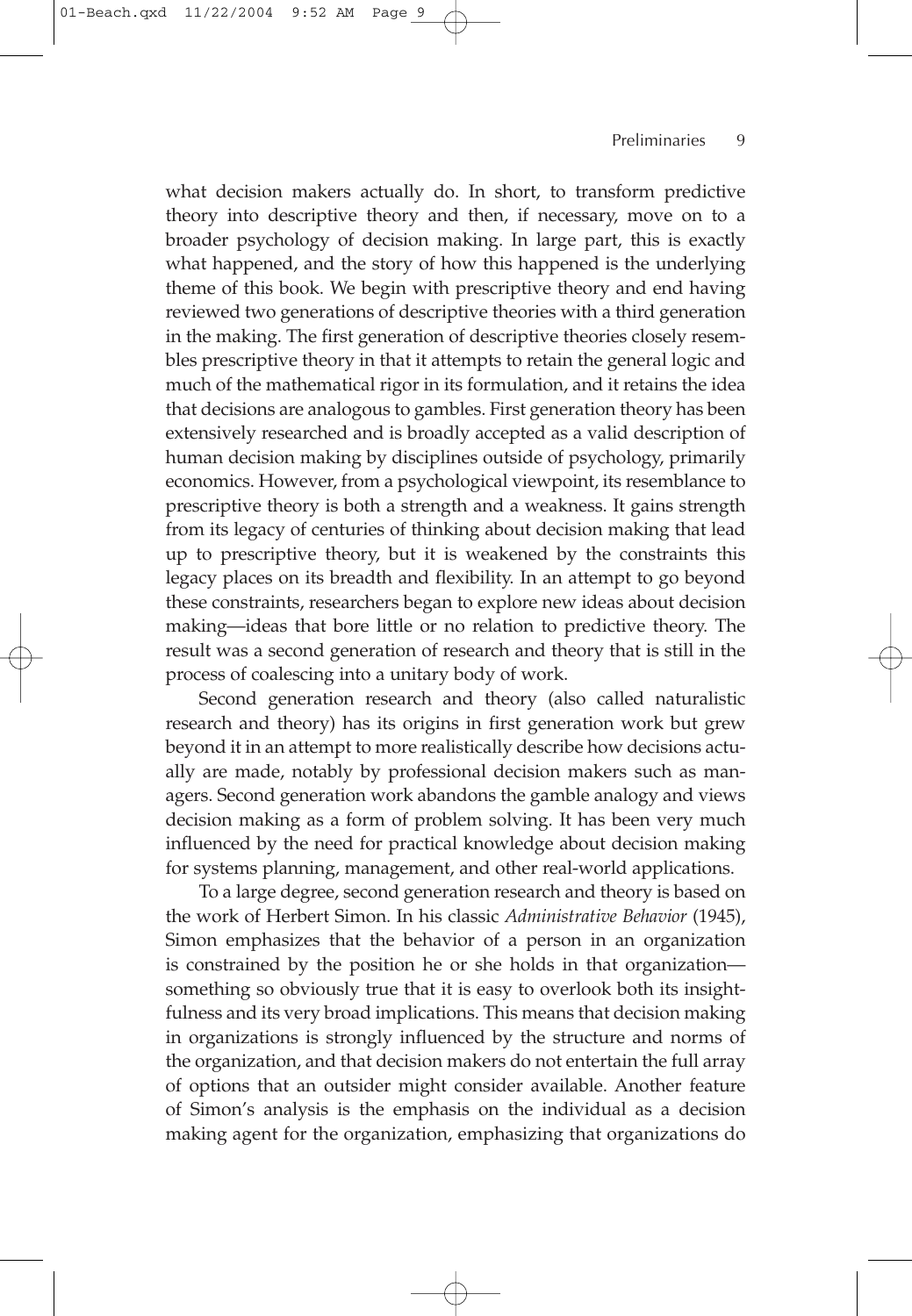#### Preliminaries 9

what decision makers actually do. In short, to transform predictive theory into descriptive theory and then, if necessary, move on to a broader psychology of decision making. In large part, this is exactly what happened, and the story of how this happened is the underlying theme of this book. We begin with prescriptive theory and end having reviewed two generations of descriptive theories with a third generation in the making. The first generation of descriptive theories closely resembles prescriptive theory in that it attempts to retain the general logic and much of the mathematical rigor in its formulation, and it retains the idea that decisions are analogous to gambles. First generation theory has been extensively researched and is broadly accepted as a valid description of human decision making by disciplines outside of psychology, primarily economics. However, from a psychological viewpoint, its resemblance to prescriptive theory is both a strength and a weakness. It gains strength from its legacy of centuries of thinking about decision making that lead up to prescriptive theory, but it is weakened by the constraints this legacy places on its breadth and flexibility. In an attempt to go beyond these constraints, researchers began to explore new ideas about decision making—ideas that bore little or no relation to predictive theory. The result was a second generation of research and theory that is still in the process of coalescing into a unitary body of work.

Second generation research and theory (also called naturalistic research and theory) has its origins in first generation work but grew beyond it in an attempt to more realistically describe how decisions actually are made, notably by professional decision makers such as managers. Second generation work abandons the gamble analogy and views decision making as a form of problem solving. It has been very much influenced by the need for practical knowledge about decision making for systems planning, management, and other real-world applications.

To a large degree, second generation research and theory is based on the work of Herbert Simon. In his classic *Administrative Behavior* (1945), Simon emphasizes that the behavior of a person in an organization is constrained by the position he or she holds in that organization something so obviously true that it is easy to overlook both its insightfulness and its very broad implications. This means that decision making in organizations is strongly influenced by the structure and norms of the organization, and that decision makers do not entertain the full array of options that an outsider might consider available. Another feature of Simon's analysis is the emphasis on the individual as a decision making agent for the organization, emphasizing that organizations do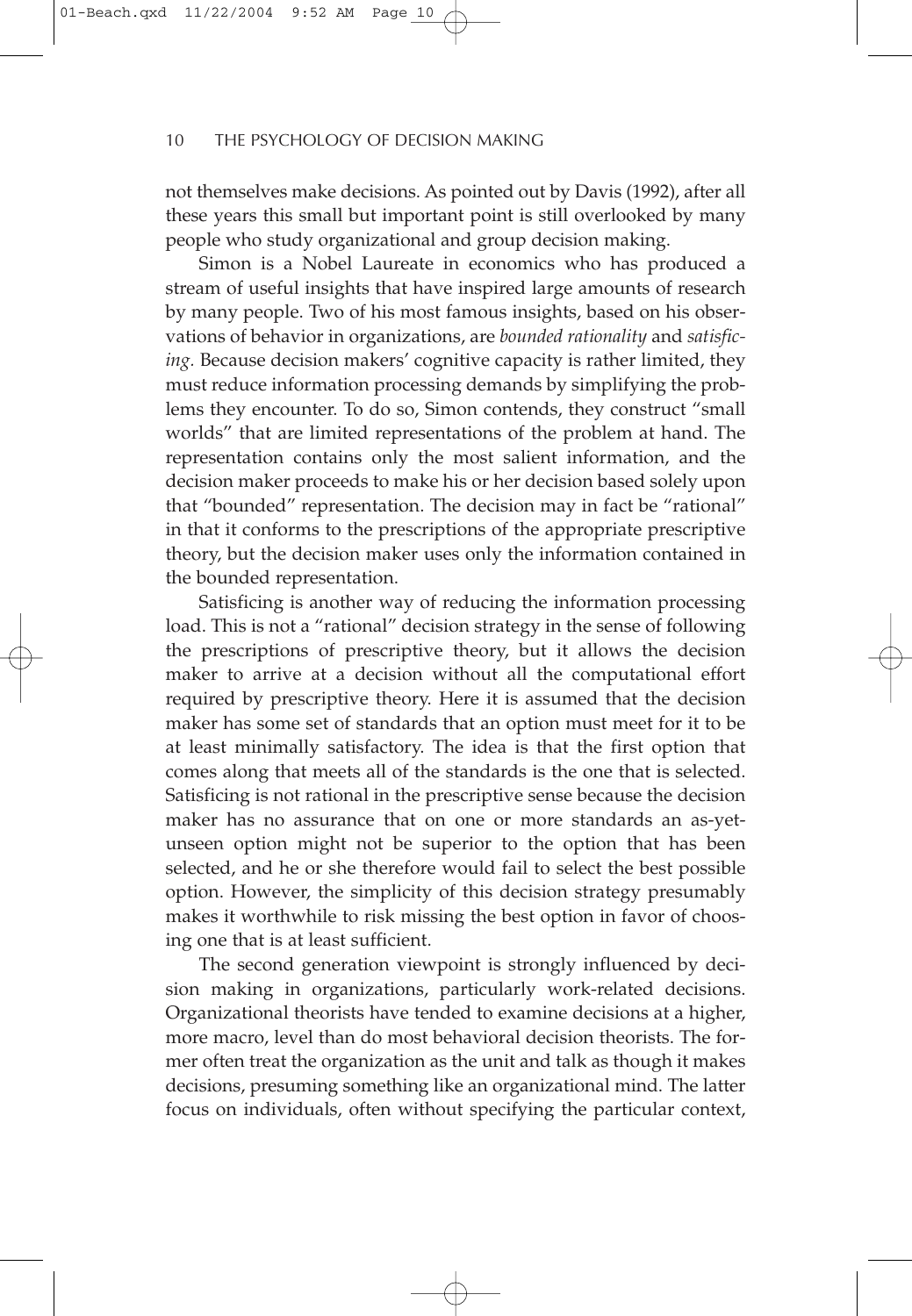not themselves make decisions. As pointed out by Davis (1992), after all these years this small but important point is still overlooked by many people who study organizational and group decision making.

Simon is a Nobel Laureate in economics who has produced a stream of useful insights that have inspired large amounts of research by many people. Two of his most famous insights, based on his observations of behavior in organizations, are *bounded rationality* and *satisficing.* Because decision makers' cognitive capacity is rather limited, they must reduce information processing demands by simplifying the problems they encounter. To do so, Simon contends, they construct "small worlds" that are limited representations of the problem at hand. The representation contains only the most salient information, and the decision maker proceeds to make his or her decision based solely upon that "bounded" representation. The decision may in fact be "rational" in that it conforms to the prescriptions of the appropriate prescriptive theory, but the decision maker uses only the information contained in the bounded representation.

Satisficing is another way of reducing the information processing load. This is not a "rational" decision strategy in the sense of following the prescriptions of prescriptive theory, but it allows the decision maker to arrive at a decision without all the computational effort required by prescriptive theory. Here it is assumed that the decision maker has some set of standards that an option must meet for it to be at least minimally satisfactory. The idea is that the first option that comes along that meets all of the standards is the one that is selected. Satisficing is not rational in the prescriptive sense because the decision maker has no assurance that on one or more standards an as-yetunseen option might not be superior to the option that has been selected, and he or she therefore would fail to select the best possible option. However, the simplicity of this decision strategy presumably makes it worthwhile to risk missing the best option in favor of choosing one that is at least sufficient.

The second generation viewpoint is strongly influenced by decision making in organizations, particularly work-related decisions. Organizational theorists have tended to examine decisions at a higher, more macro, level than do most behavioral decision theorists. The former often treat the organization as the unit and talk as though it makes decisions, presuming something like an organizational mind. The latter focus on individuals, often without specifying the particular context,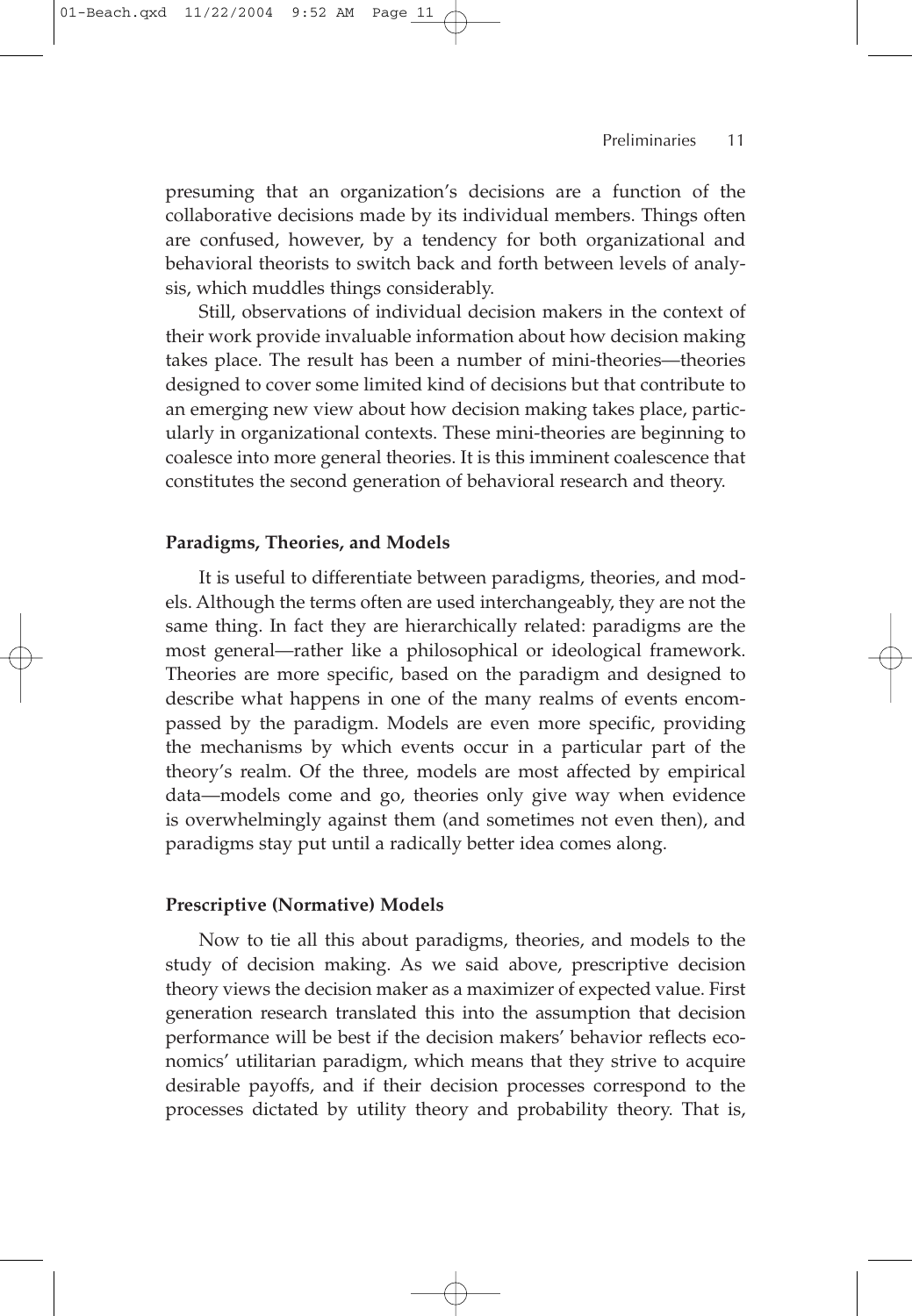presuming that an organization's decisions are a function of the collaborative decisions made by its individual members. Things often are confused, however, by a tendency for both organizational and behavioral theorists to switch back and forth between levels of analysis, which muddles things considerably.

Still, observations of individual decision makers in the context of their work provide invaluable information about how decision making takes place. The result has been a number of mini-theories—theories designed to cover some limited kind of decisions but that contribute to an emerging new view about how decision making takes place, particularly in organizational contexts. These mini-theories are beginning to coalesce into more general theories. It is this imminent coalescence that constitutes the second generation of behavioral research and theory.

#### **Paradigms, Theories, and Models**

It is useful to differentiate between paradigms, theories, and models. Although the terms often are used interchangeably, they are not the same thing. In fact they are hierarchically related: paradigms are the most general—rather like a philosophical or ideological framework. Theories are more specific, based on the paradigm and designed to describe what happens in one of the many realms of events encompassed by the paradigm. Models are even more specific, providing the mechanisms by which events occur in a particular part of the theory's realm. Of the three, models are most affected by empirical data—models come and go, theories only give way when evidence is overwhelmingly against them (and sometimes not even then), and paradigms stay put until a radically better idea comes along.

#### **Prescriptive (Normative) Models**

Now to tie all this about paradigms, theories, and models to the study of decision making. As we said above, prescriptive decision theory views the decision maker as a maximizer of expected value. First generation research translated this into the assumption that decision performance will be best if the decision makers' behavior reflects economics' utilitarian paradigm, which means that they strive to acquire desirable payoffs, and if their decision processes correspond to the processes dictated by utility theory and probability theory. That is,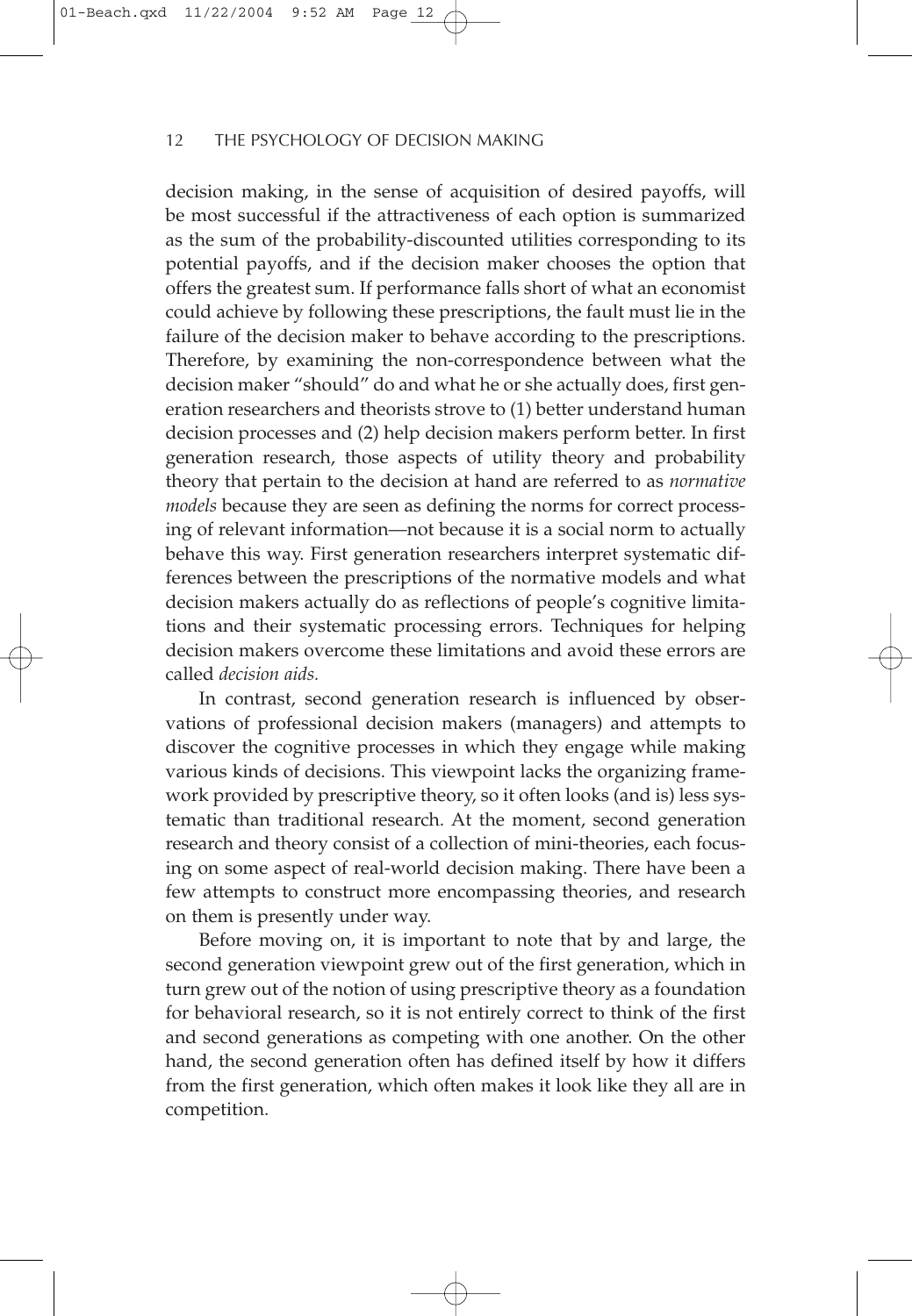decision making, in the sense of acquisition of desired payoffs, will be most successful if the attractiveness of each option is summarized as the sum of the probability-discounted utilities corresponding to its potential payoffs, and if the decision maker chooses the option that offers the greatest sum. If performance falls short of what an economist could achieve by following these prescriptions, the fault must lie in the failure of the decision maker to behave according to the prescriptions. Therefore, by examining the non-correspondence between what the decision maker "should" do and what he or she actually does, first generation researchers and theorists strove to (1) better understand human decision processes and (2) help decision makers perform better. In first generation research, those aspects of utility theory and probability theory that pertain to the decision at hand are referred to as *normative models* because they are seen as defining the norms for correct processing of relevant information—not because it is a social norm to actually behave this way. First generation researchers interpret systematic differences between the prescriptions of the normative models and what decision makers actually do as reflections of people's cognitive limitations and their systematic processing errors. Techniques for helping decision makers overcome these limitations and avoid these errors are called *decision aids.*

In contrast, second generation research is influenced by observations of professional decision makers (managers) and attempts to discover the cognitive processes in which they engage while making various kinds of decisions. This viewpoint lacks the organizing framework provided by prescriptive theory, so it often looks (and is) less systematic than traditional research. At the moment, second generation research and theory consist of a collection of mini-theories, each focusing on some aspect of real-world decision making. There have been a few attempts to construct more encompassing theories, and research on them is presently under way.

Before moving on, it is important to note that by and large, the second generation viewpoint grew out of the first generation, which in turn grew out of the notion of using prescriptive theory as a foundation for behavioral research, so it is not entirely correct to think of the first and second generations as competing with one another. On the other hand, the second generation often has defined itself by how it differs from the first generation, which often makes it look like they all are in competition.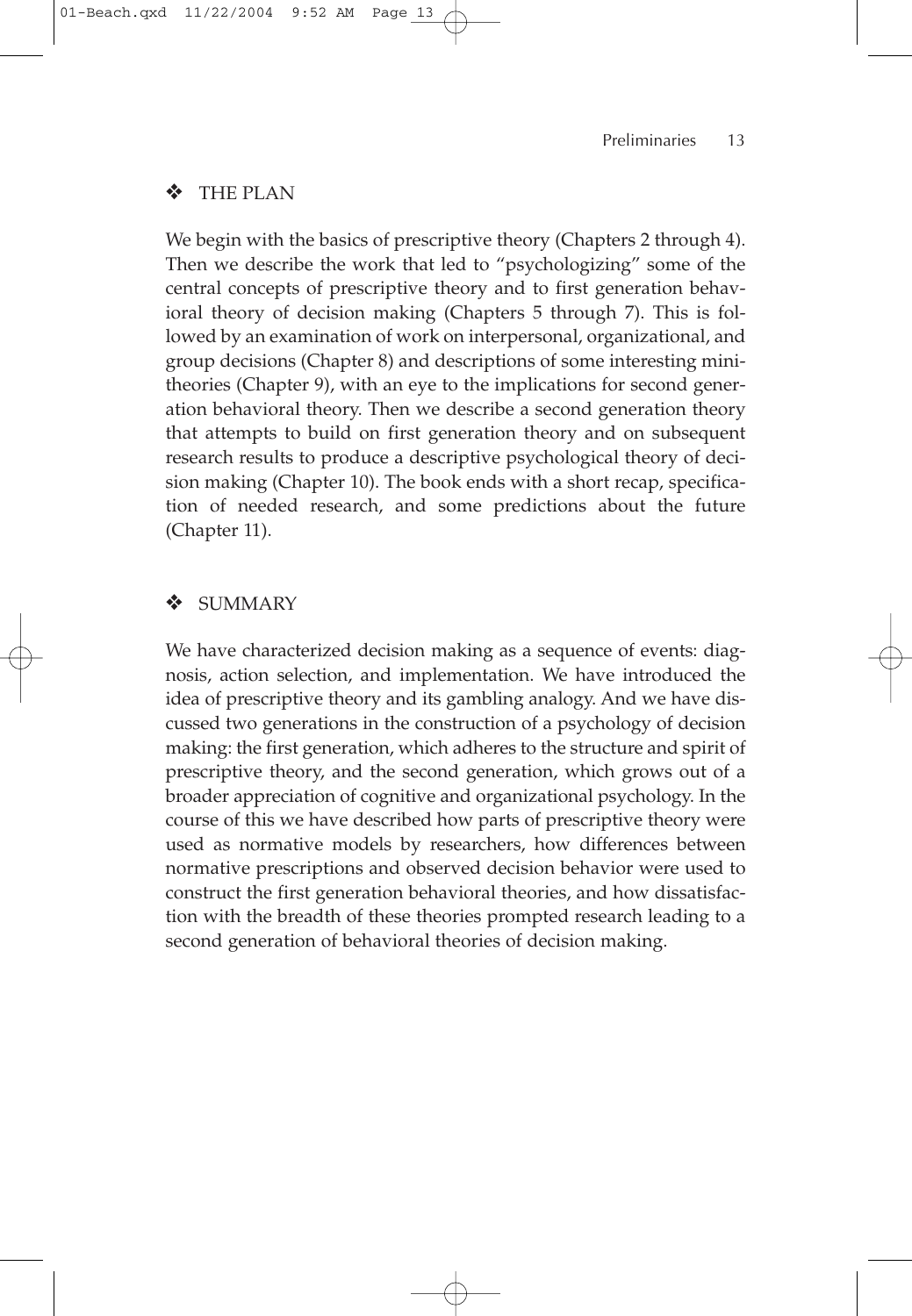# ❖ THE PLAN

We begin with the basics of prescriptive theory (Chapters 2 through 4). Then we describe the work that led to "psychologizing" some of the central concepts of prescriptive theory and to first generation behavioral theory of decision making (Chapters 5 through 7). This is followed by an examination of work on interpersonal, organizational, and group decisions (Chapter 8) and descriptions of some interesting minitheories (Chapter 9), with an eye to the implications for second generation behavioral theory. Then we describe a second generation theory that attempts to build on first generation theory and on subsequent research results to produce a descriptive psychological theory of decision making (Chapter 10). The book ends with a short recap, specification of needed research, and some predictions about the future (Chapter 11).

# **SUMMARY**

We have characterized decision making as a sequence of events: diagnosis, action selection, and implementation. We have introduced the idea of prescriptive theory and its gambling analogy. And we have discussed two generations in the construction of a psychology of decision making: the first generation, which adheres to the structure and spirit of prescriptive theory, and the second generation, which grows out of a broader appreciation of cognitive and organizational psychology. In the course of this we have described how parts of prescriptive theory were used as normative models by researchers, how differences between normative prescriptions and observed decision behavior were used to construct the first generation behavioral theories, and how dissatisfaction with the breadth of these theories prompted research leading to a second generation of behavioral theories of decision making.